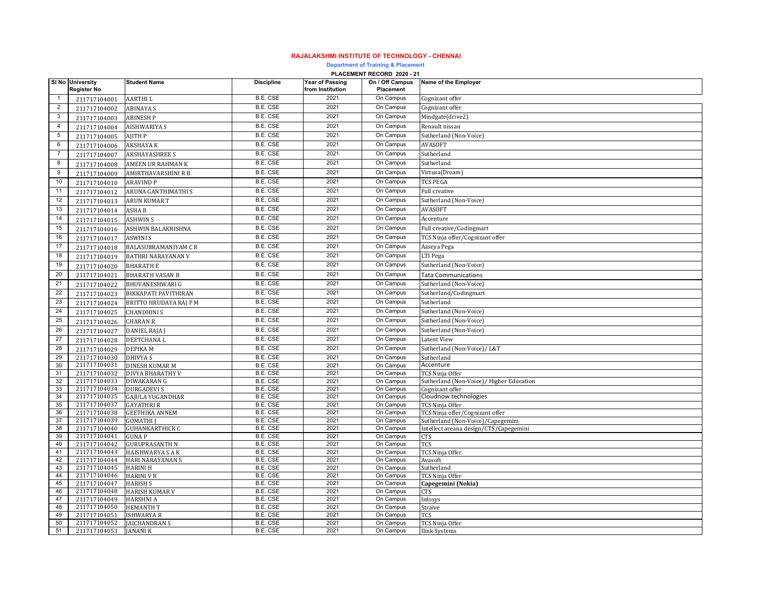## **RAJALAKSHMI INSTITUTE OF TECHNOLOGY - CHENNAI**

**Department of Training & Placement**

|                | PLACEMENT RECORD 2020 - 21             |                                           |                                    |                                            |                              |                                                                      |  |  |  |
|----------------|----------------------------------------|-------------------------------------------|------------------------------------|--------------------------------------------|------------------------------|----------------------------------------------------------------------|--|--|--|
|                | SI No University<br><b>Register No</b> | <b>Student Name</b>                       | <b>Discipline</b>                  | <b>Year of Passing</b><br>from Institution | On / Off Campus<br>Placement | Name of the Employer                                                 |  |  |  |
| $\mathbf{1}$   | 211717104001                           | AARTHI L                                  | <b>B.E. CSE</b>                    | 2021                                       | On Campus                    | Cognizant offer                                                      |  |  |  |
| $\overline{2}$ | 211717104002                           | <b>ABINAYA S</b>                          | <b>B.E. CSE</b>                    | 2021                                       | On Campus                    | Cognizant offer                                                      |  |  |  |
| 3              | 211717104003                           | <b>ABINESH P</b>                          | <b>B.E. CSE</b>                    | 2021                                       | On Campus                    | Mindgate(drive2)                                                     |  |  |  |
| $\overline{4}$ | 211717104004                           | AISHWARIYA S                              | <b>B.E. CSE</b>                    | 2021                                       | On Campus                    | Renault nissan                                                       |  |  |  |
| 5              | 211717104005                           | AJITH P                                   | <b>B.E. CSE</b>                    | 2021                                       | On Campus                    | Sutherland (Non-Voice)                                               |  |  |  |
| $\,6$          | 211717104006                           | <b>AKSHAYA K</b>                          | <b>B.E. CSE</b>                    | 2021                                       | On Campus                    | <b>AVASOFT</b>                                                       |  |  |  |
| $\overline{7}$ | 211717104007                           | <b>AKSHAYASHREE S</b>                     | <b>B.E. CSE</b>                    | 2021                                       | On Campus                    | Sutherland                                                           |  |  |  |
| 8              | 211717104008                           | AMEEN UR RAHMAN K                         | B.E. CSE                           | 2021                                       | On Campus                    | Sutherland                                                           |  |  |  |
| 9              | 211717104009                           | AMIRTHAVARSHINI R B                       | <b>B.E. CSE</b>                    | 2021                                       | On Campus                    | Virtusa(Dream)                                                       |  |  |  |
| 10             | 211717104010                           | <b>ARAVIND P</b>                          | <b>B.E. CSE</b>                    | 2021                                       | On Campus                    | <b>TCS PEGA</b>                                                      |  |  |  |
| 11             | 211717104012                           | ARUNA GANTHIMATHI S                       | <b>B.E. CSE</b>                    | 2021                                       | On Campus                    | Full creative                                                        |  |  |  |
| 12             | 211717104013                           | ARUN KUMAR T                              | B.E. CSE                           | 2021                                       | On Campus                    | Sutherland (Non-Voice)                                               |  |  |  |
| 13             | 211717104014                           | ASHA <sub>B</sub>                         | B.E. CSE                           | 2021                                       | On Campus                    | <b>AVASOFT</b>                                                       |  |  |  |
| 14             | 211717104015                           | <b>ASHWIN S</b>                           | B.E. CSE                           | 2021                                       | On Campus                    | Accenture                                                            |  |  |  |
| 15             | 211717104016                           | ASHWIN BALAKRISHNA                        | B.E. CSE                           | 2021                                       | On Campus                    | Full creative/Codingmart                                             |  |  |  |
| 16             | 211717104017                           | ASWINI S                                  | B.E. CSE                           | 2021                                       | On Campus                    | TCS Ninja offer/Cognizant offer                                      |  |  |  |
| 17             | 211717104018                           | BALASUBRAMANIYAM C R                      | B.E. CSE                           | 2021                                       | On Campus                    | Aaseya Pega                                                          |  |  |  |
| 18             | 211717104019                           | BATHRI NARAYANAN V                        | B.E. CSE                           | 2021                                       | On Campus                    | LTI Pega                                                             |  |  |  |
| 19             | 211717104020                           | <b>BHARATH E</b>                          | <b>B.E. CSE</b>                    | 2021                                       | On Campus                    | Sutherland (Non-Voice)                                               |  |  |  |
| 20             | 211717104021                           | <b>BHARATH VASAN B</b>                    | <b>B.E. CSE</b>                    | 2021                                       | On Campus                    | <b>Tata Communications</b>                                           |  |  |  |
| 21             | 211717104022                           | <b>BHUVANESHWARI G</b>                    | <b>B.E. CSE</b>                    | 2021                                       | On Campus                    | Sutherland (Non-Voice)                                               |  |  |  |
| 22             | 211717104023                           | <b>BIKKAPATI PAVITHIRAN</b>               | <b>B.E. CSE</b>                    | 2021                                       | On Campus                    | Sutherland/Codingmart                                                |  |  |  |
| 23             | 211717104024                           | BRITTO HRUDAYA RAJ P M                    | <b>B.E. CSE</b>                    | 2021                                       | On Campus                    | Sutherland                                                           |  |  |  |
| 24             | 211717104025                           | CHANDHINI S                               | <b>B.E. CSE</b>                    | 2021                                       | On Campus                    | Sutherland (Non-Voice)                                               |  |  |  |
| 25             |                                        | <b>CHARAN R</b>                           | B.E. CSE                           | 2021                                       | On Campus                    | Sutherland (Non-Voice)                                               |  |  |  |
| 26             | 211717104026                           |                                           | B.E. CSE                           | 2021                                       | On Campus                    | Sutherland (Non-Voice)                                               |  |  |  |
| 27             | 211717104027                           | DANIEL RAJA J                             | B.E. CSE                           | 2021                                       | On Campus                    | Latent View                                                          |  |  |  |
| 28             | 211717104028                           | DEETCHANA L<br><b>DEPIKAM</b>             | <b>B.E. CSE</b>                    | 2021                                       | On Campus                    | Sutherland (Non-Voice)/ L&T                                          |  |  |  |
| 29             | 211717104029<br>211717104030           | DHIVYA S                                  | <b>B.E. CSE</b>                    | 2021                                       | On Campus                    | Sutherland                                                           |  |  |  |
| 30             | 211717104031                           | DINESH KUMAR M                            | <b>B.E. CSE</b>                    | 2021                                       | On Campus                    | Accenture                                                            |  |  |  |
| 31             | 211717104032                           | DIVYA BHARATHY V                          | B.E. CSE                           | 2021                                       | On Campus                    | TCS Ninja Offer                                                      |  |  |  |
| 32             | 211717104033                           | DIWAKARAN G                               | <b>B.E. CSE</b>                    | 2021                                       | On Campus                    | Sutherland (Non-Voice)/ Higher Education                             |  |  |  |
| 33             | 211717104034                           | <b>DURGADEVI S</b>                        | B.E. CSE                           | 2021                                       | On Campus                    | Cognizant offer                                                      |  |  |  |
| 34             | 211717104035                           | GAJULA YUGANDHAR                          | <b>B.E. CSE</b>                    | 2021                                       | On Campus                    | Cloudnow technologies                                                |  |  |  |
| 35<br>36       | 211717104037<br>211717104038           | <b>GAYATHRI R</b>                         | B.E. CSE<br><b>B.E. CSE</b>        | 2021<br>2021                               | On Campus<br>On Campus       | TCS Ninja Offer                                                      |  |  |  |
| 37             | 211717104039                           | <b>GEETHIKA ANNEM</b><br><b>GOMATHI</b> I | B.E. CSE                           | 2021                                       | On Campus                    | TCS Ninja offer/Cognizant offer<br>Sutherland (Non-Voice)/Capegemini |  |  |  |
| 38             | 211717104040                           | <b>GUHANKARTHICK C</b>                    | B.E. CSE                           | 2021                                       | On Campus                    | Intellect areana design/CTS/Capegemini                               |  |  |  |
| 39             | 211717104041                           | <b>GUNAP</b>                              | <b>B.E. CSE</b>                    | 2021                                       | On Campus                    | CTS                                                                  |  |  |  |
| 40             | 211717104042                           | <b>GURUPRASANTH N</b>                     | <b>B.E. CSE</b>                    | 2021                                       | On Campus                    | TCS                                                                  |  |  |  |
| 41             | 211717104043                           | <b>HAISHWARYA S A K</b>                   | B.E. CSE                           | 2021                                       | On Campus                    | TCS Ninja Offer                                                      |  |  |  |
| 42<br>43       | 211717104044<br>211717104045           | <b>HARI NARAYANAN S</b>                   | <b>B.E. CSE</b><br><b>B.E. CSE</b> | 2021<br>2021                               | On Campus<br>On Campus       | Avasoft<br>Sutherland                                                |  |  |  |
| 44             | 211717104046                           | <b>HARINI H</b><br><b>HARINI V R</b>      | B.E. CSE                           | 2021                                       | On Campus                    | TCS Ninja Offer                                                      |  |  |  |
| 45             | 211717104047                           | <b>HARISH S</b>                           | <b>B.E. CSE</b>                    | 2021                                       | On Campus                    | Capegemini (Nokia)                                                   |  |  |  |
| 46             | 211717104048                           | HARISH KUMAR V                            | B.E. CSE                           | 2021                                       | On Campus                    | CTS                                                                  |  |  |  |
| 47             | 211717104049                           | <b>HARSHNI A</b>                          | <b>B.E. CSE</b>                    | 2021                                       | On Campus                    | Infosys                                                              |  |  |  |
| 48             | 211717104050                           | <b>HEMANTH T</b>                          | <b>B.E. CSE</b>                    | 2021                                       | On Campus                    | Straive                                                              |  |  |  |
| 49             | 211717104051                           | ISHWARYA R                                | <b>B.E. CSE</b>                    | 2021                                       | On Campus                    | TCS                                                                  |  |  |  |
| 50<br>51       | 211717104052<br>211717104053           | <b>AICHANDRAN S</b><br><b>JANANIK</b>     | B.E. CSE<br>B.E. CSE               | 2021<br>2021                               | On Campus<br>On Campus       | TCS Ninja Offer<br><b>Ilink Systems</b>                              |  |  |  |
|                |                                        |                                           |                                    |                                            |                              |                                                                      |  |  |  |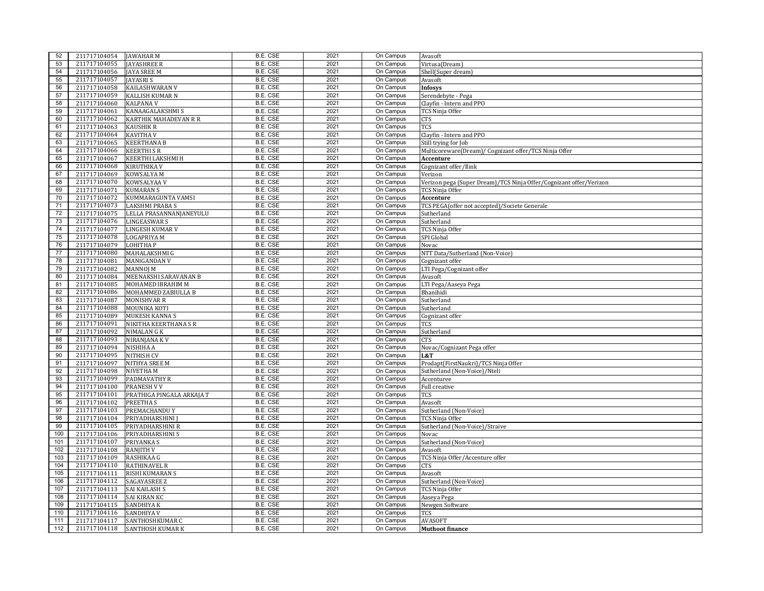| 52  | 211717104054                 | <b>JAWAHAR M</b>          | B.E. CSE                    | 2021         | On Campus | Avasoft                                                            |
|-----|------------------------------|---------------------------|-----------------------------|--------------|-----------|--------------------------------------------------------------------|
| 53  | 211717104055                 | <b>JAYASHREE R</b>        | <b>B.E. CSE</b>             | 2021         | On Campus | Virtusa(Dream)                                                     |
| 54  | 211717104056                 | <b>JAYA SREE M</b>        | <b>B.E. CSE</b>             | 2021         | On Campus | Shell(Super dream)                                                 |
| 55  | 211717104057                 | <b>JAYASRIS</b>           | <b>B.E. CSE</b>             | 2021         | On Campus | Avasoft                                                            |
| 56  | 211717104058                 | KAILASHWARAN V            | B.E. CSE                    | 2021         | On Campus | <b>Infosys</b>                                                     |
| 57  | 211717104059                 | <b>KALLISH KUMAR N</b>    | <b>B.E. CSE</b>             | 2021         | On Campus | Serendebyte - Pega                                                 |
| 58  | 211717104060                 | <b>KALPANA V</b>          | <b>B.E. CSE</b>             | 2021         | On Campus | Clayfin - Intern and PPO                                           |
| 59  | 211717104061                 | <b>KANAAGALAKSHMI S</b>   | B.E. CSE                    | 2021         | On Campus | TCS Ninja Offer                                                    |
| 60  | 211717104062                 | KARTHIK MAHADEVAN R R     | <b>B.E. CSE</b>             | 2021         | On Campus | CTS                                                                |
| 61  | 211717104063                 | <b>KAUSHIK R</b>          | <b>B.E. CSE</b>             | 2021         | On Campus | <b>TCS</b>                                                         |
| 62  | 211717104064                 | <b>KAVITHA V</b>          | <b>B.E. CSE</b>             | 2021         | On Campus | Clayfin - Intern and PPO                                           |
| 63  | 211717104065                 | <b>KEERTHANA B</b>        | <b>B.E. CSE</b>             | 2021         | On Campus | Still trying for Job                                               |
| 64  | 211717104066                 | <b>KEERTHI S R</b>        | <b>B.E. CSE</b>             | 2021         | On Campus | Multicoreware(Dream)/ Cognizant offer/TCS Ninja Offer              |
| 65  | 211717104067                 | KEERTHI LAKSHMI H         | B.E. CSE                    | 2021         | On Campus | Accenture                                                          |
| 66  | 211717104068                 | <b>KIRUTHIKA V</b>        | <b>B.E. CSE</b>             | 2021         | On Campus | Cognizant offer/Ilink                                              |
| 67  | 211717104069                 | KOWSALYA M                | B.E. CSE                    | 2021         | On Campus | Verizon                                                            |
| 68  | 211717104070                 | KOWSALYAA V               | B.E. CSE                    | 2021         | On Campus | Verizon pega (Super Dream)/TCS Ninja Offer/Cognizant offer/Verizon |
| 69  | 211717104071                 | <b>KUMARAN S</b>          | B.E. CSE                    | 2021         | On Campus | TCS Ninja Offer                                                    |
| 70  | 211717104072                 | KUMMARAGUNTA VAMSI        | <b>B.E. CSE</b>             | 2021         | On Campus | Accenture                                                          |
| 71  | 211717104073                 | <b>LAKSHMI PRABA S</b>    | B.E. CSE                    | 2021         | On Campus | TCS PEGA(offer not accepted)/Societe Generale                      |
| 72  | 211717104075                 | LELLA PRASANNANJANEYULU   | <b>B.E. CSE</b>             | 2021         | On Campus | Sutherland                                                         |
| 73  | 211717104076                 | <b>LINGEASWARS</b>        | <b>B.E. CSE</b>             | 2021         | On Campus | Sutherland                                                         |
| 74  | 211717104077                 | <b>LINGESH KUMAR V</b>    | B.E. CSE                    | 2021         | On Campus | TCS Ninja Offer                                                    |
| 75  | 211717104078                 | <b>LOGAPRIYA M</b>        | <b>B.E. CSE</b>             | 2021         | On Campus | SPI Global                                                         |
| 76  | 211717104079                 | <b>LOHITHAP</b>           | B.E. CSE                    | 2021         | On Campus | Novac                                                              |
| 77  | 211717104080                 | MAHALAKSHMI G             | B.E. CSE                    | 2021         | On Campus | NTT Data/Sutherland (Non-Voice)                                    |
| 78  | 211717104081                 | <b>MANIGANDAN V</b>       | <b>B.E. CSE</b>             | 2021         | On Campus | Cognizant offer                                                    |
| 79  | 211717104082                 | <b>MANNOJ M</b>           | <b>B.E. CSE</b>             | 2021         | On Campus | LTI Pega/Cognizant offer                                           |
| 80  | 211717104084                 | MEENAKSHI SARAVANAN B     | <b>B.E. CSE</b>             | 2021         | On Campus | Avasoft                                                            |
| 81  | 211717104085                 | MOHAMED IBRAHIM M         | <b>B.E. CSE</b>             | 2021         | On Campus |                                                                    |
| 82  | 211717104086                 | MOHAMMED ZABIULLA B       | <b>B.E. CSE</b>             | 2021         | On Campus | LTI Pega/Aaseya Pega<br>Bhanihidi                                  |
| 83  | 211717104087                 | <b>MONISHVAR R</b>        | <b>B.E. CSE</b>             | 2021         | On Campus | Sutherland                                                         |
| 84  | 211717104088                 | MOUNIKA KOTI              | <b>B.E. CSE</b>             | 2021         | On Campus | Sutherland                                                         |
| 85  | 211717104089                 | <b>MUKESH KANNA S</b>     | <b>B.E. CSE</b>             | 2021         | On Campus | Cognizant offer                                                    |
| 86  | 211717104091                 | NIKITHA KEERTHANA S R     | <b>B.E. CSE</b>             | 2021         | On Campus | <b>TCS</b>                                                         |
| 87  | 211717104092                 |                           | <b>B.E. CSE</b>             | 2021         | On Campus |                                                                    |
| 88  | 211717104093                 | <b>NIMALAN G K</b>        | <b>B.E. CSE</b>             | 2021         | On Campus | Sutherland                                                         |
| 89  | 211717104094                 | NIRANJANA K V             | B.E. CSE                    | 2021         | On Campus | CTS                                                                |
| 90  |                              | NISHIHA A                 | <b>B.E. CSE</b>             | 2021         | On Campus | Novac/Cognizant Pega offer                                         |
|     | 211717104095                 | <b>NITHISH CV</b>         |                             | 2021         |           | L&T                                                                |
| 91  | 211717104097<br>211717104098 | <b>NITHYA SREE M</b>      | B.E. CSE                    |              | On Campus | Prodapt(FirstNaukri)/TCS Ninja Offer                               |
| 92  |                              | <b>NIVETHAM</b>           | <b>B.E. CSE</b><br>B.E. CSE | 2021         | On Campus | Sutherland (Non-Voice)/Nteli                                       |
| 93  | 211717104099                 | <b>PADMAVATHY R</b>       |                             | 2021         | On Campus | Accenturee                                                         |
| 94  | 211717104100                 | <b>PRANESH V V</b>        | B.E. CSE                    | 2021         | On Campus | Full creative                                                      |
| 95  | 211717104101                 | PRATHIGA PINGALA ARKAJA T | B.E. CSE                    | 2021         | On Campus | TCS                                                                |
| 96  | 211717104102                 | <b>PREETHAS</b>           | <b>B.E. CSE</b>             | 2021         | On Campus | Avasoft                                                            |
| 97  | 211717104103                 | PREMACHANDU Y             | <b>B.E. CSE</b>             | 2021         | On Campus | Sutherland (Non-Voice)                                             |
| 98  | 211717104104                 | PRIYADHARSHINI            | B.E. CSE                    | 2021         | On Campus | TCS Ninia Offer                                                    |
| 99  | 211717104105                 | PRIYADHARSHINI R          | B.E. CSE                    | 2021         | On Campus | Sutherland (Non-Voice)/Straive                                     |
| 100 | 211717104106                 | PRIYADHARSHINI S          | B.E. CSE                    | 2021         | On Campus | Novac                                                              |
| 101 | 211717104107                 | PRIYANKA S                | <b>B.E. CSE</b>             | 2021         | On Campus | Sutherland (Non-Voice)                                             |
| 102 | 211717104108                 | <b>RANJITH V</b>          | B.E. CSE                    | 2021<br>2021 | On Campus | Avasoft                                                            |
| 103 | 211717104109                 | RASHIKAA G                | <b>B.E. CSE</b>             |              | On Campus | TCS Ninja Offer/Accenture offer                                    |
| 104 | 211717104110                 | <b>RATHINAVEL R</b>       | B.E. CSE                    | 2021         | On Campus | CTS                                                                |
| 105 | 211717104111                 | RISHI KUMARAN S           | <b>B.E. CSE</b>             | 2021         | On Campus | Avasoft                                                            |
| 106 | 211717104112                 | <b>SAGAYASREE Z</b>       | B.E. CSE                    | 2021         | On Campus | Sutherland (Non-Voice)                                             |
| 107 | 211717104113                 | <b>SAI KAILASH S</b>      | B.E. CSE                    | 2021         | On Campus | TCS Ninja Offer                                                    |
| 108 | 211717104114                 | <b>SAI KIRAN KC</b>       | B.E. CSE                    | 2021         | On Campus | Aaseya Pega                                                        |
| 109 | 211717104115                 | <b>SANDHIYA K</b>         | <b>B.E. CSE</b>             | 2021         | On Campus | Newgen Software                                                    |
| 110 | 211717104116                 | <b>SANDHIYA V</b>         | <b>B.E. CSE</b>             | 2021         | On Campus | TCS                                                                |
| 111 | 211717104117                 | SANTHOSHKUMAR C           | B.E. CSE                    | 2021         | On Campus | <b>AVASOFT</b>                                                     |
| 112 | 211717104118                 | <b>SANTHOSH KUMAR K</b>   | B.E. CSE                    | 2021         | On Campus | <b>Muthoot finance</b>                                             |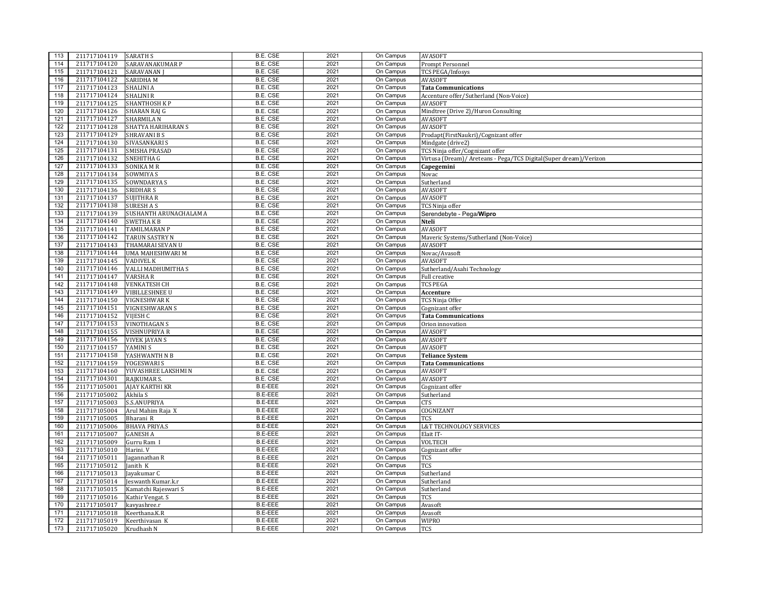| 113 | 211717104119                 | <b>SARATH S</b>         | B.E. CSE                    | 2021         | On Campus              | <b>AVASOFT</b>                                                    |
|-----|------------------------------|-------------------------|-----------------------------|--------------|------------------------|-------------------------------------------------------------------|
| 114 | 211717104120                 | SARAVANAKUMAR P         | <b>B.E. CSE</b>             | 2021         | On Campus              | Prompt Personnel                                                  |
| 115 | 211717104121                 | <b>SARAVANAN</b> J      | B.E. CSE                    | 2021         | On Campus              | <b>TCS PEGA/Infosys</b>                                           |
| 116 | 211717104122                 | <b>SARIDHAM</b>         | <b>B.E. CSE</b>             | 2021         | On Campus              | <b>AVASOFT</b>                                                    |
| 117 | 211717104123                 | <b>SHALINI A</b>        | B.E. CSE                    | 2021         | On Campus              | <b>Tata Communications</b>                                        |
| 118 | 211717104124                 | <b>SHALINI R</b>        | <b>B.E. CSE</b>             | 2021         | On Campus              | Accenture offer/Sutherland (Non-Voice)                            |
| 119 | 211717104125                 | SHANTHOSH KP            | <b>B.E. CSE</b>             | 2021         | On Campus              | <b>AVASOFT</b>                                                    |
| 120 | 211717104126                 | SHARAN RAJ G            | B.E. CSE                    | 2021         | On Campus              | Mindtree (Drive 2)/Huron Consulting                               |
| 121 | 211717104127                 | SHARMILA N              | B.E. CSE                    | 2021         | On Campus              | AVASOFT                                                           |
| 122 | 211717104128                 | SHATYA HARIHARAN S      | <b>B.E. CSE</b>             | 2021         | On Campus              | <b>AVASOFT</b>                                                    |
| 123 | 211717104129                 | <b>SHRAVANI B S</b>     | <b>B.E. CSE</b>             | 2021         | On Campus              | Prodapt(FirstNaukri)/Cognizant offer                              |
| 124 | 211717104130                 | SIVASANKARI S           | <b>B.E. CSE</b>             | 2021         | On Campus              | Mindgate (drive2)                                                 |
| 125 | 211717104131                 | SMISHA PRASAD           | B.E. CSE                    | 2021         | On Campus              | TCS Ninja offer/Cognizant offer                                   |
| 126 | 211717104132                 | SNEHITHA G              | <b>B.E. CSE</b>             | 2021         | On Campus              | Virtusa (Dream)/ Areteans - Pega/TCS Digital(Super dream)/Verizon |
| 127 | 211717104133                 | <b>SONIKA MR</b>        | <b>B.E. CSE</b>             | 2021         | On Campus              | Capegemini                                                        |
| 128 | 211717104134                 | SOWMIYA S               | B.E. CSE                    | 2021         | On Campus              | Novac                                                             |
| 129 | 211717104135                 | SOWNDARYA S             | B.E. CSE                    | 2021         | On Campus              | Sutherland                                                        |
| 130 | 211717104136                 | SRIDHAR S               | <b>B.E. CSE</b>             | 2021         | On Campus              | <b>AVASOFT</b>                                                    |
| 131 | 211717104137                 | <b>SUJITHRA R</b>       | B.E. CSE                    | 2021         | On Campus              | <b>AVASOFT</b>                                                    |
| 132 | 211717104138                 | <b>SURESHAS</b>         | <b>B.E. CSE</b>             | 2021         | On Campus              | TCS Ninia offer                                                   |
| 133 | 211717104139                 | SUSHANTH ARUNACHALAM A  | B.E. CSE                    | 2021         | On Campus              | Serendebyte - Pega/Wipro                                          |
| 134 | 211717104140                 | SWETHA K B              | B.E. CSE                    | 2021         | On Campus              | Nteli                                                             |
| 135 | 211717104141                 | <b>TAMILMARAN P</b>     | <b>B.E. CSE</b>             | 2021         | On Campus              | <b>AVASOFT</b>                                                    |
| 136 | 211717104142                 | <b>TARUN SASTRY N</b>   | B.E. CSE                    | 2021         | On Campus              | Maveric Systems/Sutherland (Non-Voice)                            |
| 137 | 211717104143                 | THAMARAI SEVAN U        | <b>B.E. CSE</b>             | 2021         | On Campus              | AVASOFT                                                           |
| 138 | 211717104144                 | <b>UMA MAHESHWARI M</b> | B.E. CSE                    | 2021         | On Campus              | Novac/Avasoft                                                     |
| 139 | 211717104145                 | <b>VADIVEL K</b>        | <b>B.E. CSE</b>             | 2021         | On Campus              | <b>AVASOFT</b>                                                    |
| 140 | 211717104146                 | VALLI MADHUMITHA S      | B.E. CSE                    | 2021         | On Campus              |                                                                   |
| 141 | 211717104147                 |                         | <b>B.E. CSE</b>             | 2021         | On Campus              | Sutherland/Asahi Technology                                       |
| 142 | 211717104148                 | VARSHA R                | <b>B.E. CSE</b>             | 2021         | On Campus              | Full creative                                                     |
| 143 | 211717104149                 | <b>VENKATESH CH</b>     | <b>B.E. CSE</b>             | 2021         | On Campus              | <b>TCS PEGA</b>                                                   |
| 144 |                              | <b>VIBILLESHNEE U</b>   | B.E. CSE                    | 2021         | On Campus              | Accenture                                                         |
| 145 | 211717104150                 | <b>VIGNESHWARK</b>      |                             |              |                        | TCS Ninja Offer                                                   |
| 146 | 211717104151<br>211717104152 | <b>VIGNESHWARAN S</b>   | B.E. CSE<br><b>B.E. CSE</b> | 2021<br>2021 | On Campus<br>On Campus | Cognizant offer                                                   |
| 147 |                              | VIJESH C                | B.E. CSE                    | 2021         | On Campus              | <b>Tata Communications</b>                                        |
|     | 211717104153                 | <b>VINOTHAGAN S</b>     |                             | 2021         |                        | Orion innovation                                                  |
| 148 | 211717104155                 | VISHNUPRIYA R           | B.E. CSE                    |              | On Campus              | <b>AVASOFT</b>                                                    |
| 149 | 211717104156                 | <b>VIVEK JAYAN S</b>    | B.E. CSE                    | 2021         | On Campus              | <b>AVASOFT</b>                                                    |
| 150 | 211717104157                 | YAMINI S                | <b>B.E. CSE</b>             | 2021         | On Campus              | <b>AVASOFT</b>                                                    |
| 151 | 211717104158                 | YASHWANTH N B           | <b>B.E. CSE</b>             | 2021         | On Campus              | <b>Teliance System</b>                                            |
| 152 | 211717104159                 | YOGESWARI S             | B.E. CSE                    | 2021         | On Campus              | <b>Tata Communications</b>                                        |
| 153 | 211717104160                 | YUVASHREE LAKSHMI N     | B.E. CSE                    | 2021         | On Campus              | AVASOFT                                                           |
| 154 | 211717104301                 | RAJKUMAR S.             | B.E. CSE                    | 2021         | On Campus              | <b>AVASOFT</b>                                                    |
| 155 | 211717105001                 | <b>AJAY KARTHI KR</b>   | <b>B.E-EEE</b>              | 2021         | On Campus              | Cognizant offer                                                   |
| 156 | 211717105002                 | Akhila S                | <b>B.E-EEE</b>              | 2021         | On Campus              | Sutherland                                                        |
| 157 | 211717105003                 | S.S.ANUPRIYA            | <b>B.E-EEE</b>              | 2021         | On Campus              | CTS                                                               |
| 158 | 211717105004                 | Arul Mahim Raja X       | <b>B.E-EEE</b>              | 2021         | On Campus              | COGNIZANT                                                         |
| 159 | 211717105005                 | Bharani R               | <b>B.E-EEE</b>              | 2021         | On Campus              | <b>TCS</b>                                                        |
| 160 | 211717105006                 | <b>BHAVA PRIYA.S</b>    | <b>B.E-EEE</b>              | 2021         | On Campus              | <b>L&amp;T TECHNOLOGY SERVICES</b>                                |
| 161 | 211717105007                 | <b>GANESH A</b>         | <b>B.E-EEE</b>              | 2021         | On Campus              | Elait IT-                                                         |
| 162 | 211717105009                 | Gurru Ram I             | B.E-EEE                     | 2021         | On Campus              | VOLTECH                                                           |
| 163 | 211717105010                 | Harini. V               | <b>B.E-EEE</b>              | 2021         | On Campus              | Cognizant offer                                                   |
| 164 | 211717105011                 | Jagannathan R           | <b>B.E-EEE</b>              | 2021         | On Campus              | TCS                                                               |
| 165 | 211717105012                 | Janith K                | <b>B.E-EEE</b>              | 2021         | On Campus              | <b>TCS</b>                                                        |
| 166 | 211717105013                 | Jayakumar C             | <b>B.E-EEE</b>              | 2021         | On Campus              | Sutherland                                                        |
| 167 | 211717105014                 | Jeswanth Kumar.k.r      | <b>B.E-EEE</b>              | 2021         | On Campus              | Sutherland                                                        |
| 168 | 211717105015                 | Kamatchi Rajeswari S    | <b>B.E-EEE</b>              | 2021         | On Campus              | Sutherland                                                        |
| 169 | 211717105016                 | Kathir Vengat. S        | <b>B.E-EEE</b>              | 2021         | On Campus              | TCS                                                               |
| 170 | 211717105017                 | kavyashree.r            | B.E-EEE                     | 2021         | On Campus              | Avasoft                                                           |
| 171 | 211717105018                 | Keerthana.K.R           | <b>B.E-EEE</b>              | 2021         | On Campus              | Avasoft                                                           |
| 172 | 211717105019                 | Keerthivasan K          | <b>B.E-EEE</b>              | 2021         | On Campus              | <b>WIPRO</b>                                                      |
| 173 | 211717105020                 | Krudhash N              | <b>B.E-EEE</b>              | 2021         | On Campus              | TCS                                                               |
|     |                              |                         |                             |              |                        |                                                                   |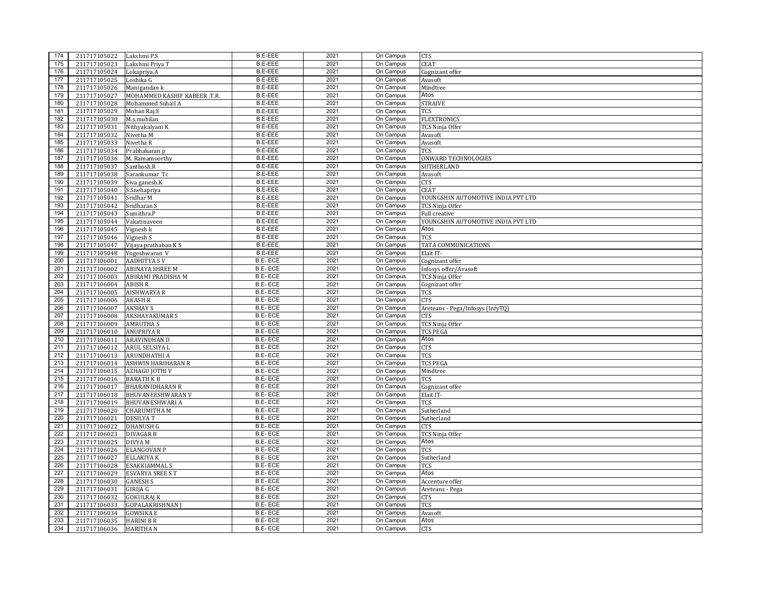| 174 | 211717105022 | Lakshmi P.S                  | <b>B.E-EEE</b> | 2021 | On Campus | CTS                                |
|-----|--------------|------------------------------|----------------|------|-----------|------------------------------------|
| 175 | 211717105023 | Lakshmi Priya T              | <b>B.E-EEE</b> | 2021 | On Campus | <b>CEAT</b>                        |
| 176 | 211717105024 | Lokapriya.A                  | <b>B.E-EEE</b> | 2021 | On Campus | Cognizant offer                    |
| 177 | 211717105025 | Loshika G                    | <b>B.E-EEE</b> | 2021 | On Campus | Avasoft                            |
| 178 | 211717105026 | Manigandan k                 | <b>B.E-EEE</b> | 2021 | On Campus | Mindtree                           |
| 179 | 211717105027 | MOHAMMED KASHIF KABEER .T.R. | <b>B.E-EEE</b> | 2021 | On Campus | Atos                               |
| 180 | 211717105028 | Mohammed Suhail A            | <b>B.E-EEE</b> | 2021 | On Campus | <b>STRAIVE</b>                     |
| 181 | 211717105029 | Mohan Raj.S                  | <b>B.E-EEE</b> | 2021 | On Campus | TCS                                |
| 182 | 211717105030 | M.s.muhilan                  | <b>B.E-EEE</b> | 2021 | On Campus | <b>FLEXTRONICS</b>                 |
| 183 | 211717105031 | Nithyakalyani K              | <b>B.E-EEE</b> | 2021 | On Campus | TCS Ninja Offer                    |
| 184 | 211717105032 | Nivetha M                    | <b>B.E-EEE</b> | 2021 | On Campus | Avasoft                            |
| 185 | 211717105033 | Nivetha R                    | <b>B.E-EEE</b> | 2021 | On Campus | Avasoft                            |
| 186 | 211717105034 | Prabhakaran p                | <b>B.E-EEE</b> | 2021 | On Campus | TCS                                |
| 187 | 211717105036 | M. Ramamoorthy               | <b>B.E-EEE</b> | 2021 | On Campus | ONWARD TECHNOLOGIES                |
| 188 | 211717105037 | Santhosh.R                   | <b>B.E-EEE</b> | 2021 | On Campus | SUTHERLAND                         |
| 189 | 211717105038 | Sarankumar Tc                | <b>B.E-EEE</b> | 2021 | On Campus | Avasoft                            |
| 190 | 211717105039 | Siva ganesh.K                | <b>B.E-EEE</b> | 2021 | On Campus | CTS                                |
| 191 | 211717105040 | S.Snehapriya                 | <b>B.E-EEE</b> | 2021 | On Campus | <b>CEAT</b>                        |
| 192 | 211717105041 | Sridhar M                    | <b>B.E-EEE</b> | 2021 | On Campus | YOUNGSHIN AUTOMOTIVE INDIA PVT LTD |
| 193 | 211717105042 | Sridharan S                  | <b>B.E-EEE</b> | 2021 | On Campus | <b>TCS Ninia Offer</b>             |
| 194 | 211717105043 | Sumithra.P                   | <b>B.E-EEE</b> | 2021 | On Campus | Full creative                      |
| 195 | 211717105044 | Vakatinaveen                 | <b>B.E-EEE</b> | 2021 | On Campus | YOUNGSHIN AUTOMOTIVE INDIA PVT LTD |
| 196 | 211717105045 | Vignesh k                    | <b>B.E-EEE</b> | 2021 | On Campus | Atos                               |
| 197 | 211717105046 | Vignesh S                    | <b>B.E-EEE</b> | 2021 | On Campus | <b>TCS</b>                         |
| 198 | 211717105047 |                              | <b>B.E-EEE</b> | 2021 | On Campus | TATA COMMUNICATIONS                |
| 199 |              | Vijaya prathaban K S         | <b>B.E-EEE</b> | 2021 | On Campus |                                    |
| 200 | 211717105048 | Yogeshwaran V                | <b>B.E-ECE</b> | 2021 | On Campus | Elait IT-                          |
|     | 211717106001 | <b>AADHITYA S V</b>          |                |      |           | Cognizant offer                    |
| 201 | 211717106002 | <b>ABINAYA SHREE M</b>       | <b>B.E-ECE</b> | 2021 | On Campus | Infosys offer/Avasoft              |
| 202 | 211717106003 | ABIRAMI PRADISHA M           | <b>B.E-ECE</b> | 2021 | On Campus | TCS Ninja Offer                    |
| 203 | 211717106004 | <b>ABISH R</b>               | <b>B.E-ECE</b> | 2021 | On Campus | Cognizant offer                    |
| 204 | 211717106005 | <b>AISHWARYA R</b>           | <b>B.E-ECE</b> | 2021 | On Campus | TCS                                |
| 205 | 211717106006 | <b>AKASH R</b>               | <b>B.E-ECE</b> | 2021 | On Campus | CTS                                |
| 206 | 211717106007 | <b>AKSHAY S</b>              | B.E-ECE        | 2021 | On Campus | Areteans - Pega/Infosys (InfyTQ)   |
| 207 | 211717106008 | <b>AKSHAYAKUMAR S</b>        | <b>B.E-ECE</b> | 2021 | On Campus | CTS                                |
| 208 | 211717106009 | <b>AMRUTHAS</b>              | <b>B.E-ECE</b> | 2021 | On Campus | TCS Ninja Offer                    |
| 209 | 211717106010 | <b>ANUPRIYA R</b>            | <b>B.E-ECE</b> | 2021 | On Campus | <b>TCS PEGA</b>                    |
| 210 | 211717106011 | <b>ARAVINDHAN D</b>          | B.E-ECE        | 2021 | On Campus | Atos                               |
| 211 | 211717106012 | ARUL SELSIYA L               | <b>B.E-ECE</b> | 2021 | On Campus | <b>CTS</b>                         |
| 212 | 211717106013 | <b>ARUNDHATHI A</b>          | <b>B.E-ECE</b> | 2021 | On Campus | TCS                                |
| 213 | 211717106014 | <b>ASHWIN HARIHARAN R</b>    | <b>B.E-ECE</b> | 2021 | On Campus | <b>TCS PEGA</b>                    |
| 214 | 211717106015 | <b>AZHAGU JOTHI V</b>        | B.E-ECE        | 2021 | On Campus | Mindtree                           |
| 215 | 211717106016 | <b>BARATH K B</b>            | <b>B.E-ECE</b> | 2021 | On Campus | <b>TCS</b>                         |
| 216 | 211717106017 | <b>BHARANIDHARAN R</b>       | <b>B.E-ECE</b> | 2021 | On Campus | Cognizant offer                    |
| 217 | 211717106018 | <b>BHUVANEESHWARAN V</b>     | <b>B.E-ECE</b> | 2021 | On Campus | Elait IT-                          |
| 218 | 211717106019 | <b>BHUVANESHWARI A</b>       | <b>B.E-ECE</b> | 2021 | On Campus | <b>TCS</b>                         |
| 219 | 211717106020 | <b>CHARUMITHA M</b>          | <b>B.E-ECE</b> | 2021 | On Campus | Sutherland                         |
| 220 | 211717106021 | <b>DESILYAT</b>              | <b>B.E-ECE</b> | 2021 | On Campus | Sutherland                         |
| 221 | 211717106022 | <b>DHANUSH G</b>             | B.E-ECE        | 2021 | On Campus | CTS                                |
| 222 | 211717106023 | <b>DIVAGAR B</b>             | B.E-ECE        | 2021 | On Campus | TCS Ninja Offer                    |
| 223 | 211717106025 | DIVYA M                      | <b>B.E-ECE</b> | 2021 | On Campus | Atos                               |
| 224 | 211717106026 | <b>ELANGOVAN P</b>           | B.E-ECE        | 2021 | On Campus | <b>TCS</b>                         |
| 225 | 211717106027 | <b>ELLAKIYA K</b>            | <b>B.E-ECE</b> | 2021 | On Campus | Sutherland                         |
| 226 | 211717106028 | <b>ESAKKIAMMAL S</b>         | <b>B.E-ECE</b> | 2021 | On Campus | <b>TCS</b>                         |
| 227 | 211717106029 | <b>ESVARYA SREE ST</b>       | <b>B.E-ECE</b> | 2021 | On Campus | Atos                               |
| 228 | 211717106030 | <b>GANESH S</b>              | <b>B.E-ECE</b> | 2021 | On Campus | Accenture offer                    |
| 229 | 211717106031 | GIRIJA G                     | <b>B.E-ECE</b> | 2021 | On Campus | Areteans - Pega                    |
| 230 | 211717106032 | <b>GOKULRAJ K</b>            | <b>B.E-ECE</b> | 2021 | On Campus | CTS                                |
| 231 | 211717106033 | <b>GOPALAKRISHNAN</b> J      | B.E-ECE        | 2021 | On Campus | TCS                                |
| 232 | 211717106034 | <b>GOWSIKA E</b>             | <b>B.E-ECE</b> | 2021 | On Campus | Avasoft                            |
| 233 | 211717106035 | <b>HARINI B R</b>            | B.E-ECE        | 2021 | On Campus | Atos                               |
| 234 | 211717106036 | <b>HARITHAN</b>              | <b>B.E-ECE</b> | 2021 | On Campus | <b>CTS</b>                         |
|     |              |                              |                |      |           |                                    |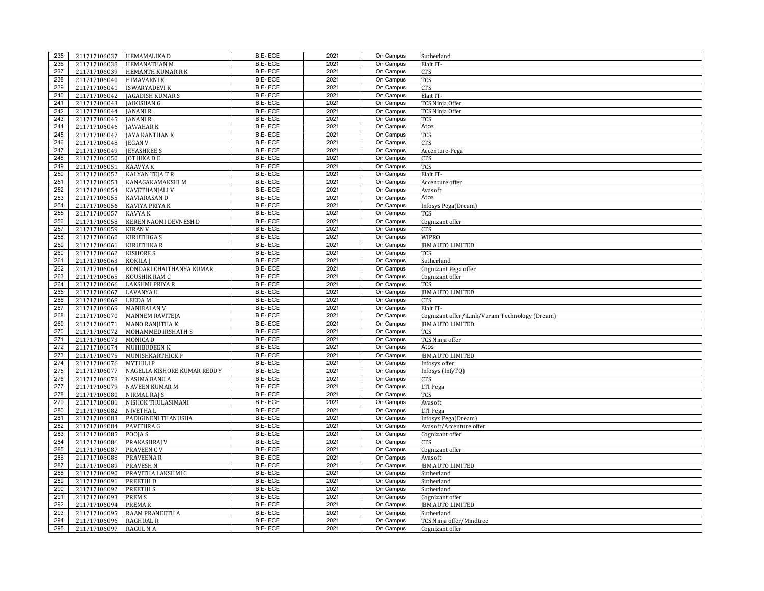| 235 | 211717106037 | HEMAMALIKA D                  | B.E-ECE        | 2021         | On Campus | Sutherland                                     |
|-----|--------------|-------------------------------|----------------|--------------|-----------|------------------------------------------------|
| 236 | 211717106038 | <b>HEMANATHAN M</b>           | <b>B.E-ECE</b> | 2021         | On Campus | Elait IT-                                      |
| 237 | 211717106039 | HEMANTH KUMAR R K             | <b>B.E-ECE</b> | 2021         | On Campus | CTS                                            |
| 238 | 211717106040 | <b>HIMAVARNI K</b>            | <b>B.E-ECE</b> | 2021         | On Campus | <b>TCS</b>                                     |
| 239 | 211717106041 | <b>ISWARYADEVI K</b>          | <b>B.E-ECE</b> | 2021         | On Campus | <b>CTS</b>                                     |
| 240 | 211717106042 | JAGADISH KUMAR S              | <b>B.E-ECE</b> | 2021         | On Campus | Elait IT-                                      |
| 241 | 211717106043 | JAIKISHAN G                   | <b>B.E-ECE</b> | 2021         | On Campus | TCS Ninja Offer                                |
| 242 | 211717106044 | JANANI R                      | B.E-ECE        | 2021         | On Campus | TCS Ninja Offer                                |
| 243 | 211717106045 | JANANI R                      | <b>B.E-ECE</b> | 2021         | On Campus | <b>TCS</b>                                     |
| 244 | 211717106046 | <b>JAWAHAR K</b>              | <b>B.E-ECE</b> | 2021         | On Campus | Atos                                           |
| 245 | 211717106047 | JAYA KANTHAN K                | <b>B.E-ECE</b> | 2021         | On Campus | TCS                                            |
| 246 | 211717106048 | <b>IEGAN V</b>                | <b>B.E-ECE</b> | 2021         | On Campus | <b>CTS</b>                                     |
| 247 | 211717106049 | <b>IEYASHREE S</b>            | B.E-ECE        | 2021         | On Campus | Accenture-Pega                                 |
| 248 | 211717106050 | JOTHIKA D E                   | <b>B.E-ECE</b> | 2021         | On Campus | CTS                                            |
| 249 | 211717106051 | KAAVYA K                      | <b>B.E-ECE</b> | 2021         | On Campus | TCS                                            |
| 250 | 211717106052 | KALYAN TEJA T R               | <b>B.E-ECE</b> | 2021         | On Campus | Elait IT-                                      |
| 251 | 211717106053 | KANAGAKAMAKSHI M              | <b>B.E-ECE</b> | 2021         | On Campus | Accenture offer                                |
| 252 | 211717106054 | KAVETHANJALI V                | <b>B.E-ECE</b> | 2021         | On Campus | Avasoft                                        |
| 253 | 211717106055 | KAVIARASAN D                  | <b>B.E-ECE</b> | 2021         | On Campus | Atos                                           |
| 254 | 211717106056 | KAVIYA PRIYA K                | <b>B.E-ECE</b> | 2021         | On Campus | Infosys Pega(Dream)                            |
| 255 | 211717106057 | KAVYA K                       | <b>B.E-ECE</b> | 2021         | On Campus | TCS                                            |
| 256 | 211717106058 | KEREN NAOMI DEVNESH D         | <b>B.E-ECE</b> | 2021         | On Campus | Cognizant offer                                |
| 257 | 211717106059 |                               | <b>B.E-ECE</b> | 2021         | On Campus |                                                |
| 258 |              | <b>KIRAN V</b><br>KIRUTHIGA S | <b>B.E-ECE</b> | 2021         | On Campus | CTS                                            |
|     | 211717106060 |                               | <b>B.E-ECE</b> |              |           | <b>WIPRO</b>                                   |
| 259 | 211717106061 | KIRUTHIKA R                   | <b>B.E-ECE</b> | 2021<br>2021 | On Campus | <b>JBM AUTO LIMITED</b>                        |
| 260 | 211717106062 | KISHORE S                     |                | 2021         | On Campus | TCS                                            |
| 261 | 211717106063 | KOKILA J                      | <b>B.E-ECE</b> |              | On Campus | Sutherland                                     |
| 262 | 211717106064 | KONDARI CHAITHANYA KUMAR      | B.E-ECE        | 2021         | On Campus | Cognizant Pega offer                           |
| 263 | 211717106065 | KOUSHIK RAM C                 | <b>B.E-ECE</b> | 2021         | On Campus | Cognizant offer                                |
| 264 | 211717106066 | LAKSHMI PRIYA R               | B.E-ECE        | 2021         | On Campus | TCS                                            |
| 265 | 211717106067 | LAVANYA U                     | B.E-ECE        | 2021         | On Campus | <b>JBM AUTO LIMITED</b>                        |
| 266 | 211717106068 | LEEDA M                       | <b>B.E-ECE</b> | 2021         | On Campus | CTS                                            |
| 267 | 211717106069 | <b>MANIBALAN V</b>            | <b>B.E-ECE</b> | 2021         | On Campus | Elait IT-                                      |
| 268 | 211717106070 | <b>MANNEM RAVITEJA</b>        | B.E-ECE        | 2021         | On Campus | Cognizant offer/iLink/Vuram Technology (Dream) |
| 269 | 211717106071 | <b>MANO RANJITHA K</b>        | <b>B.E-ECE</b> | 2021         | On Campus | <b>JBM AUTO LIMITED</b>                        |
| 270 | 211717106072 | MOHAMMED IRSHATH S            | <b>B.E-ECE</b> | 2021         | On Campus | TCS                                            |
| 271 | 211717106073 | MONICA D                      | <b>B.E-ECE</b> | 2021         | On Campus | TCS Ninja offer                                |
| 272 | 211717106074 | <b>MUHIBUDEEN K</b>           | <b>B.E-ECE</b> | 2021         | On Campus | Atos                                           |
| 273 | 211717106075 | MUNISHKARTHICK P              | <b>B.E-ECE</b> | 2021         | On Campus | <b>JBM AUTO LIMITED</b>                        |
| 274 | 211717106076 | <b>MYTHILIP</b>               | B.E-ECE        | 2021         | On Campus | Infosys offer                                  |
| 275 | 211717106077 | NAGELLA KISHORE KUMAR REDDY   | B.E-ECE        | 2021         | On Campus | Infosys (InfyTQ)                               |
| 276 | 211717106078 | NASIMA BANU A                 | B.E-ECE        | 2021         | On Campus | <b>CTS</b>                                     |
| 277 | 211717106079 | <b>NAVEEN KUMAR M</b>         | <b>B.E-ECE</b> | 2021         | On Campus | LTI Pega                                       |
| 278 | 211717106080 | NIRMAL RAJ S                  | <b>B.E-ECE</b> | 2021         | On Campus | TCS                                            |
| 279 | 211717106081 | NISHOK THULASIMANI            | <b>B.E-ECE</b> | 2021         | On Campus | Avasoft                                        |
| 280 | 211717106082 | NIVETHA L                     | <b>B.E-ECE</b> | 2021         | On Campus | LTI Pega                                       |
| 281 | 211717106083 | PADIGINENI THANUSHA           | <b>B.E-ECE</b> | 2021         | On Campus | Infosys Pega(Dream)                            |
| 282 | 211717106084 | PAVITHRA G                    | B.E-ECE        | 2021         | On Campus | Avasoft/Accenture offer                        |
| 283 | 211717106085 | POOJA S                       | B.E-ECE        | 2021         | On Campus | Cognizant offer                                |
| 284 | 211717106086 | PRAKASHRAJ V                  | <b>B.E-ECE</b> | 2021         | On Campus | CTS                                            |
| 285 | 211717106087 | <b>PRAVEEN CV</b>             | B.E-ECE        | 2021         | On Campus | Cognizant offer                                |
| 286 | 211717106088 | <b>PRAVEENA R</b>             | <b>B.E-ECE</b> | 2021         | On Campus | Avasoft                                        |
| 287 | 211717106089 | PRAVESH N                     | <b>B.E-ECE</b> | 2021         | On Campus | <b>JBM AUTO LIMITED</b>                        |
| 288 | 211717106090 | PRAVITHA LAKSHMI C            | <b>B.E-ECE</b> | 2021         | On Campus | Sutherland                                     |
| 289 | 211717106091 | PREETHI D                     | <b>B.E-ECE</b> | 2021         | On Campus | Sutherland                                     |
| 290 | 211717106092 | <b>PREETHIS</b>               | <b>B.E-ECE</b> | 2021         | On Campus | Sutherland                                     |
| 291 | 211717106093 | PREM S                        | <b>B.E-ECE</b> | 2021         | On Campus | Cognizant offer                                |
| 292 | 211717106094 | PREMAR                        | <b>B.E-ECE</b> | 2021         | On Campus | <b>JBM AUTO LIMITED</b>                        |
| 293 | 211717106095 | RAAM PRANEETH A               | <b>B.E-ECE</b> | 2021         | On Campus | Sutherland                                     |
| 294 | 211717106096 | RAGHUAL R                     | <b>B.E-ECE</b> | 2021         | On Campus | TCS Ninja offer/Mindtree                       |
| 295 | 211717106097 | RAGUL N A                     | <b>B.E-ECE</b> | 2021         | On Campus | Cognizant offer                                |
|     |              |                               |                |              |           |                                                |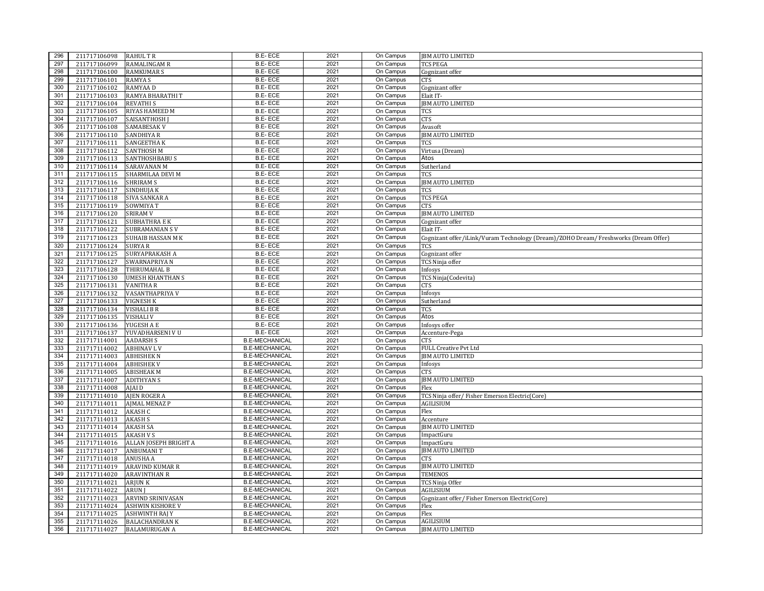| 296 | 211717106098                 | <b>RAHUL T R</b>                              | B.E-ECE               | 2021 | On Campus | <b>JBM AUTO LIMITED</b>                                                             |
|-----|------------------------------|-----------------------------------------------|-----------------------|------|-----------|-------------------------------------------------------------------------------------|
| 297 | 211717106099                 | <b>RAMALINGAM R</b>                           | <b>B.E-ECE</b>        | 2021 | On Campus | <b>TCS PEGA</b>                                                                     |
| 298 | 211717106100                 | <b>RAMKUMAR S</b>                             | <b>B.E-ECE</b>        | 2021 | On Campus | Cognizant offer                                                                     |
| 299 | 211717106101                 | <b>RAMYA S</b>                                | <b>B.E-ECE</b>        | 2021 | On Campus | CTS                                                                                 |
| 300 | 211717106102                 | <b>RAMYAAD</b>                                | <b>B.E-ECE</b>        | 2021 | On Campus | Cognizant offer                                                                     |
| 301 | 211717106103                 | RAMYA BHARATHI T                              | B.E-ECE               | 2021 | On Campus | Elait IT-                                                                           |
| 302 | 211717106104                 | <b>REVATHIS</b>                               | <b>B.E-ECE</b>        | 2021 | On Campus | <b>JBM AUTO LIMITED</b>                                                             |
| 303 | 211717106105                 | RIYAS HAMEED M                                | <b>B.E-ECE</b>        | 2021 | On Campus | <b>TCS</b>                                                                          |
| 304 | 211717106107                 | <b>SAISANTHOSH I</b>                          | <b>B.E-ECE</b>        | 2021 | On Campus | CTS                                                                                 |
| 305 | 211717106108                 | <b>SAMABESAK V</b>                            | <b>B.E-ECE</b>        | 2021 | On Campus | Avasoft                                                                             |
| 306 | 211717106110                 | <b>SANDHIYA R</b>                             | <b>B.E-ECE</b>        | 2021 | On Campus | <b>JBM AUTO LIMITED</b>                                                             |
| 307 | 211717106111                 | <b>SANGEETHAK</b>                             | <b>B.E-ECE</b>        | 2021 | On Campus | TCS                                                                                 |
| 308 | 211717106112                 | <b>SANTHOSH M</b>                             | <b>B.E-ECE</b>        | 2021 | On Campus | Virtusa (Dream)                                                                     |
| 309 | 211717106113                 | <b>SANTHOSHBABU S</b>                         | <b>B.E-ECE</b>        | 2021 | On Campus | Atos                                                                                |
| 310 | 211717106114                 | <b>SARAVANAN M</b>                            | B.E-ECE               | 2021 | On Campus | Sutherland                                                                          |
| 311 | 211717106115                 | SHARMILAA DEVI M                              | <b>B.E-ECE</b>        | 2021 | On Campus | TCS                                                                                 |
| 312 | 211717106116                 | <b>SHRIRAM S</b>                              | B.E-ECE               | 2021 | On Campus | <b>JBM AUTO LIMITED</b>                                                             |
| 313 | 211717106117                 |                                               | <b>B.E-ECE</b>        | 2021 | On Campus |                                                                                     |
| 314 |                              | SINDHUJA K                                    |                       | 2021 |           | TCS                                                                                 |
|     | 211717106118                 | <b>SIVA SANKAR A</b>                          | B.E-ECE               |      | On Campus | <b>TCS PEGA</b>                                                                     |
| 315 | 211717106119                 | SOWMIYA T                                     | B.E-ECE               | 2021 | On Campus | CTS                                                                                 |
| 316 | 211717106120                 | <b>SRIRAM V</b>                               | <b>B.E-ECE</b>        | 2021 | On Campus | <b>JBM AUTO LIMITED</b>                                                             |
| 317 | 211717106121                 | <b>SUBHATHRA E K</b>                          | B.E-ECE               | 2021 | On Campus | Cognizant offer                                                                     |
| 318 | 211717106122                 | <b>SUBRAMANIAN SV</b>                         | <b>B.E-ECE</b>        | 2021 | On Campus | Elait IT-                                                                           |
| 319 | 211717106123                 | <b>SUHAIB HASSAN M K</b>                      | B.E-ECE               | 2021 | On Campus | Cognizant offer/iLink/Vuram Technology (Dream)/ZOHO Dream/ Freshworks (Dream Offer) |
| 320 | 211717106124                 | <b>SURYAR</b>                                 | <b>B.E-ECE</b>        | 2021 | On Campus | TCS                                                                                 |
| 321 | 211717106125                 | SURYAPRAKASH A                                | B.E-ECE               | 2021 | On Campus | Cognizant offer                                                                     |
| 322 | 211717106127                 | SWARNAPRIYA N                                 | <b>B.E-ECE</b>        | 2021 | On Campus | TCS Ninja offer                                                                     |
| 323 | 211717106128                 | THIRUMAHAL B                                  | <b>B.E-ECE</b>        | 2021 | On Campus | Infosys                                                                             |
| 324 | 211717106130                 | <b>UMESH KHANTHAN S</b>                       | <b>B.E-ECE</b>        | 2021 | On Campus | TCS Ninja(Codevita)                                                                 |
| 325 | 211717106131                 | VANITHA R                                     | <b>B.E-ECE</b>        | 2021 | On Campus | CTS                                                                                 |
| 326 | 211717106132                 | VASANTHAPRIYA V                               | <b>B.E-ECE</b>        | 2021 | On Campus | Infosys                                                                             |
| 327 | 211717106133                 | <b>VIGNESH K</b>                              | <b>B.E-ECE</b>        | 2021 | On Campus | Sutherland                                                                          |
| 328 | 211717106134                 | <b>VISHALI B R</b>                            | <b>B.E-ECE</b>        | 2021 | On Campus | TCS                                                                                 |
| 329 | 211717106135                 | <b>VISHALI V</b>                              | <b>B.E-ECE</b>        | 2021 | On Campus | Atos                                                                                |
| 330 | 211717106136                 | YUGESH A E                                    | B.E-ECE               | 2021 | On Campus | Infosys offer                                                                       |
| 331 | 211717106137                 | YUVADHARSENI V U                              | <b>B.E-ECE</b>        | 2021 | On Campus | Accenture-Pega                                                                      |
| 332 | 211717114001                 | <b>AADARSH S</b>                              | <b>B.E-MECHANICAL</b> | 2021 | On Campus | CTS                                                                                 |
| 333 | 211717114002                 | <b>ABHINAV LV</b>                             | <b>B.E-MECHANICAL</b> | 2021 | On Campus | <b>FULL Creative Pvt Ltd</b>                                                        |
| 334 | 211717114003                 | <b>ABHISHEKN</b>                              | <b>B.E-MECHANICAL</b> | 2021 | On Campus | <b>JBM AUTO LIMITED</b>                                                             |
| 335 | 211717114004                 | <b>ABHISHEK V</b>                             | <b>B.E-MECHANICAL</b> | 2021 | On Campus | Infosys                                                                             |
| 336 | 211717114005                 | <b>ABISHEAK M</b>                             | <b>B.E-MECHANICAL</b> | 2021 | On Campus | CTS                                                                                 |
| 337 | 211717114007                 | <b>ADITHYAN S</b>                             | <b>B.E-MECHANICAL</b> | 2021 | On Campus | <b>JBM AUTO LIMITED</b>                                                             |
| 338 | 211717114008                 | AJAI D                                        | <b>B.E-MECHANICAL</b> | 2021 | On Campus | Flex                                                                                |
| 339 | 211717114010                 | <b>AJEN ROGER A</b>                           | <b>B.E-MECHANICAL</b> | 2021 | On Campus | TCS Ninja offer/Fisher Emerson Electric(Core)                                       |
| 340 | 211717114011                 | <b>AJMAL MENAZ P</b>                          | <b>B.E-MECHANICAL</b> | 2021 | On Campus | <b>AGILISIUM</b>                                                                    |
| 341 | 211717114012                 | <b>AKASH C</b>                                | <b>B.E-MECHANICAL</b> | 2021 | On Campus | Flex                                                                                |
| 342 | 211717114013                 | <b>AKASH S</b>                                | <b>B.E-MECHANICAL</b> | 2021 | On Campus | Accenture                                                                           |
| 343 | 211717114014                 | <b>AKASH SA</b>                               | <b>B.E-MECHANICAL</b> | 2021 | On Campus | <b>JBM AUTO LIMITED</b>                                                             |
| 344 | 211717114015                 | <b>AKASH V S</b>                              | <b>B.E-MECHANICAL</b> | 2021 | On Campus | ImpactGuru                                                                          |
| 345 | 211717114016                 | ALLAN JOSEPH BRIGHT A                         | <b>B.E-MECHANICAL</b> | 2021 | On Campus | ImpactGuru                                                                          |
| 346 | 211717114017                 | <b>ANBUMANIT</b>                              | <b>B.E-MECHANICAL</b> | 2021 | On Campus | <b>JBM AUTO LIMITED</b>                                                             |
| 347 | 211717114018                 | <b>ANUSHA A</b>                               | <b>B.E-MECHANICAL</b> | 2021 | On Campus | CTS                                                                                 |
| 348 |                              |                                               | <b>B.E-MECHANICAL</b> | 2021 | On Campus | <b>JBM AUTO LIMITED</b>                                                             |
| 349 | 211717114019<br>211717114020 | <b>ARAVIND KUMAR R</b><br><b>ARAVINTHAN R</b> | <b>B.E-MECHANICAL</b> | 2021 | On Campus | <b>TEMENOS</b>                                                                      |
| 350 |                              |                                               | <b>B.E-MECHANICAL</b> | 2021 | On Campus |                                                                                     |
|     | 211717114021<br>211717114022 | <b>ARJUNK</b>                                 | <b>B.E-MECHANICAL</b> | 2021 | On Campus | TCS Ninja Offer<br><b>AGILISIUM</b>                                                 |
| 351 |                              | <b>ARUN</b>                                   |                       | 2021 |           |                                                                                     |
| 352 | 211717114023                 | ARVIND SRINIVASAN                             | <b>B.E-MECHANICAL</b> |      | On Campus | Cognizant offer/Fisher Emerson Electric(Core)                                       |
| 353 | 211717114024                 | <b>ASHWIN KISHORE V</b>                       | <b>B.E-MECHANICAL</b> | 2021 | On Campus | Flex                                                                                |
| 354 | 211717114025                 | <b>ASHWINTH RAJ Y</b>                         | <b>B.E-MECHANICAL</b> | 2021 | On Campus | Flex                                                                                |
| 355 | 211717114026                 | <b>BALACHANDRAN K</b>                         | <b>B.E-MECHANICAL</b> | 2021 | On Campus | <b>AGILISIUM</b>                                                                    |
| 356 | 211717114027                 | <b>BALAMURUGAN A</b>                          | <b>B.E-MECHANICAL</b> | 2021 | On Campus | <b>JBM AUTO LIMITED</b>                                                             |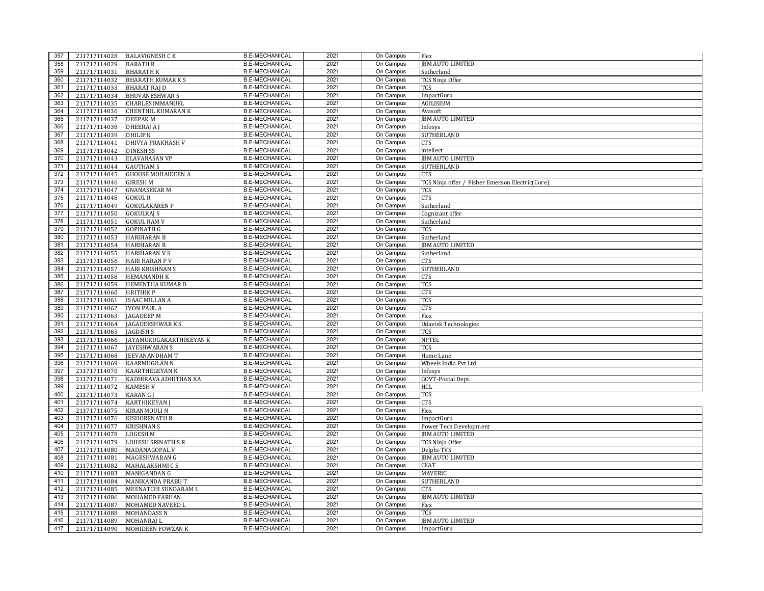| 357        |                              | 211717114028 BALAVIGNESH C E                 | <b>B.E-MECHANICAL</b> | 2021 | On Campus              | Flex                                            |
|------------|------------------------------|----------------------------------------------|-----------------------|------|------------------------|-------------------------------------------------|
| 358        | 211717114029                 | <b>BARATH R</b>                              | <b>B.E-MECHANICAL</b> | 2021 | On Campus              | <b>JBM AUTO LIMITED</b>                         |
| 359        | 211717114031                 | <b>BHARATH K</b>                             | <b>B.E-MECHANICAL</b> | 2021 | On Campus              | Sutherland                                      |
| 360        | 211717114032                 | <b>BHARATH KUMAR K S</b>                     | <b>B.E-MECHANICAL</b> | 2021 | On Campus              | TCS Ninja Offer                                 |
| 361        | 211717114033                 | BHARAT RAJ D                                 | <b>B.E-MECHANICAL</b> | 2021 | On Campus              | TCS                                             |
| 362        | 211717114034                 | <b>BHUVANESHWARS</b>                         | <b>B.E-MECHANICAL</b> | 2021 | On Campus              | ImpactGuru                                      |
| 363        | 211717114035                 | <b>CHARLES IMMANUEL</b>                      | <b>B.E-MECHANICAL</b> | 2021 | On Campus              | <b>AGILISIUM</b>                                |
| 364        | 211717114036                 | <b>CHENTHIL KUMARAN K</b>                    | <b>B.E-MECHANICAL</b> | 2021 | On Campus              | Avasoft                                         |
| 365        | 211717114037                 | <b>DEEPAKM</b>                               | <b>B.E-MECHANICAL</b> | 2021 | On Campus              | <b>IBM AUTO LIMITED</b>                         |
| 366        | 211717114038                 | <b>DHEERAJ AJ</b>                            | <b>B.E-MECHANICAL</b> | 2021 | On Campus              | Infosys                                         |
| 367        | 211717114039                 | <b>DHILIP K</b>                              | <b>B.E-MECHANICAL</b> | 2021 | On Campus              | <b>SUTHERLAND</b>                               |
| 368        | 211717114041                 | DHIVYA PRAKHASH V                            | <b>B.E-MECHANICAL</b> | 2021 | On Campus              | CTS                                             |
| 369        | 211717114042                 | <b>DINESH SS</b>                             | <b>B.E-MECHANICAL</b> | 2021 | On Campus              | intellect                                       |
| 370        | 211717114043                 | ELAVARASAN VP                                | <b>B.E-MECHANICAL</b> | 2021 | On Campus              | <b>JBM AUTO LIMITED</b>                         |
| 371        | 211717114044                 | <b>GAUTHAM S</b>                             | <b>B.E-MECHANICAL</b> | 2021 | On Campus              | SUTHERLAND                                      |
| 372        | 211717114045                 | <b>GHOUSE MOHAIDEEN A</b>                    | <b>B.E-MECHANICAL</b> | 2021 | On Campus              | CTS                                             |
| 373        | 211717114046                 | <b>GIRESH M</b>                              | <b>B.E-MECHANICAL</b> | 2021 | On Campus              | TCS Ninja offer / Fisher Emerson Electric(Core) |
| 374        | 211717114047                 | <b>GNANASEKAR M</b>                          | <b>B.E-MECHANICAL</b> | 2021 | On Campus              | TCS                                             |
| 375        | 211717114048                 | GOKUL R                                      | <b>B.E-MECHANICAL</b> | 2021 | On Campus              | CTS                                             |
| 376        | 211717114049                 | <b>GOKULAKAREN P</b>                         | <b>B.E-MECHANICAL</b> | 2021 | On Campus              | Sutherland                                      |
| 377        | 211717114050                 | <b>GOKULRAJ S</b>                            | <b>B.E-MECHANICAL</b> | 2021 | On Campus              | Cognizant offer                                 |
| 378        | 211717114051                 | <b>GOKUL RAM V</b>                           | <b>B.E-MECHANICAL</b> | 2021 | On Campus              | Sutherland                                      |
| 379        | 211717114052                 | GOPINATH G                                   | <b>B.E-MECHANICAL</b> | 2021 | On Campus              | TCS                                             |
| 380        | 211717114053                 | <b>HARIHARAN B</b>                           | <b>B.E-MECHANICAL</b> | 2021 | On Campus              | Sutherland                                      |
| 381        | 211717114054                 | <b>HARIHARAN R</b>                           | <b>B.E-MECHANICAL</b> | 2021 | On Campus              | <b>JBM AUTO LIMITED</b>                         |
| 382        | 211717114055                 | <b>HARIHARAN V S</b>                         | <b>B.E-MECHANICAL</b> | 2021 | On Campus              | Sutherland                                      |
| 383        | 211717114056                 | <b>HARI HARAN P V</b>                        | <b>B.E-MECHANICAL</b> | 2021 | On Campus              | CTS                                             |
| 384        |                              |                                              | <b>B.E-MECHANICAL</b> | 2021 | On Campus              |                                                 |
|            | 211717114057<br>211717114058 | <b>HARI KRISHNAN S</b><br><b>HEMANANDH K</b> | <b>B.E-MECHANICAL</b> | 2021 | On Campus              | SUTHERLAND                                      |
| 385        |                              |                                              | <b>B.E-MECHANICAL</b> | 2021 |                        | CTS                                             |
| 386<br>387 | 211717114059                 | HEMENTHA KUMAR D                             | <b>B.E-MECHANICAL</b> | 2021 | On Campus<br>On Campus | TCS<br>CTS                                      |
|            | 211717114060                 | HRITHIK P                                    |                       |      |                        |                                                 |
|            |                              |                                              |                       |      |                        |                                                 |
| 388        | 211717114061                 | ISAAC MILLAN A                               | <b>B.E-MECHANICAL</b> | 2021 | On Campus              | TCS                                             |
| 389        | 211717114062                 | <b>IVON PAUL A</b>                           | <b>B.E-MECHANICAL</b> | 2021 | On Campus              | <b>CTS</b>                                      |
| 390        | 211717114063                 | <b>JAGADEEP M</b>                            | <b>B.E-MECHANICAL</b> | 2021 | On Campus              | Flex                                            |
| 391        | 211717114064                 | <b>JAGADEESHWARKS</b>                        | <b>B.E-MECHANICAL</b> | 2021 | On Campus              | <b>Udavisk Technologies</b>                     |
| 392        | 211717114065                 | JAGDISH S                                    | <b>B.E-MECHANICAL</b> | 2021 | On Campus              | TCS                                             |
| 393        | 211717114066                 | JAYAMURUGAKARTHIKEYAN K                      | <b>B.E-MECHANICAL</b> | 2021 | On Campus              | <b>NPTEL</b>                                    |
| 394        | 211717114067                 | <b>JAYESHWARAN S</b>                         | <b>B.E-MECHANICAL</b> | 2021 | On Campus              | TCS                                             |
| 395        | 211717114068                 | <b>JEEVANANDHAM T</b>                        | <b>B.E-MECHANICAL</b> | 2021 | On Campus              | Home Lane                                       |
| 396        | 211717114069                 | KAARMUGILAN N                                | <b>B.E-MECHANICAL</b> | 2021 | On Campus              | Wheels India Pvt Ltd                            |
| 397        | 211717114070                 | KAARTHEGEYAN K                               | <b>B.E-MECHANICAL</b> | 2021 | On Campus              | Infosys                                         |
| 398        | 211717114071                 | KADHIRAVA ADHITHAN KA                        | <b>B.E-MECHANICAL</b> | 2021 | On Campus              | GOVT-Postal Dept.                               |
| 399        | 211717114072                 | KAMESH V                                     | <b>B.E-MECHANICAL</b> | 2021 | On Campus              | HCL                                             |
| 400        | 211717114073                 | KARAN G J                                    | <b>B.E-MECHANICAL</b> | 2021 | On Campus              | TCS                                             |
| 401        | 211717114074                 | <b>KARTHIKEYAN</b>                           | <b>B.E-MECHANICAL</b> | 2021 | On Campus              | CTS                                             |
| 402        | 211717114075                 | KIRANMOULI N                                 | <b>B.E-MECHANICAL</b> | 2021 | On Campus              | Flex                                            |
| 403        | 211717114076                 | KISHORENATH R                                | <b>B.E-MECHANICAL</b> | 2021 | On Campus              | ImpactGuru                                      |
| 404        | 211717114077                 | <b>KRISHNAN S</b>                            | <b>B.E-MECHANICAL</b> | 2021 | On Campus              | Power Tech Development                          |
| 405        | 211717114078                 | LOGESH M                                     | <b>B.E-MECHANICAL</b> | 2021 | On Campus              | <b>JBM AUTO LIMITED</b>                         |
| 406        | 211717114079                 | <b>LOHESH SRINATH S R</b>                    | <b>B.E-MECHANICAL</b> | 2021 | On Campus              | TCS Ninja Offer                                 |
| 407        | 211717114080                 | MADANAGOPAL V                                | <b>B.E-MECHANICAL</b> | 2021 | On Campus              | Delphi-TVS                                      |
| 408        | 211717114081                 | MAGESHWARAN G                                | <b>B.E-MECHANICAL</b> | 2021 | On Campus              | <b>JBM AUTO LIMITED</b>                         |
| 409        | 211717114082                 | MAHALAKSHMI C S                              | <b>B.E-MECHANICAL</b> | 2021 | On Campus              | CEAT                                            |
| 410        | 211717114083                 | MANIGANDAN G                                 | <b>B.E-MECHANICAL</b> | 2021 | On Campus              | <b>MAVERIC</b>                                  |
| 411        | 211717114084                 | MANIKANDA PRABU T                            | <b>B.E-MECHANICAL</b> | 2021 | On Campus              | SUTHERLAND                                      |
| 412        | 211717114085                 | MEENATCHI SUNDARAM L                         | <b>B.E-MECHANICAL</b> | 2021 | On Campus              | CTS                                             |
| 413        | 211717114086                 | MOHAMED FARHAN                               | <b>B.E-MECHANICAL</b> | 2021 | On Campus              | <b>JBM AUTO LIMITED</b>                         |
| 414        | 211717114087                 | MOHAMED NAVEED L                             | <b>B.E-MECHANICAL</b> | 2021 | On Campus              | Flex                                            |
| 415        | 211717114088                 | MOHANDASS N                                  | <b>B.E-MECHANICAL</b> | 2021 | On Campus              | TCS                                             |
| 416        | 211717114089                 | MOHANRAJ L                                   | <b>B.E-MECHANICAL</b> | 2021 | On Campus              | <b>JBM AUTO LIMITED</b>                         |
| 417        | 211717114090                 | MOHIDEEN FOWZAN K                            | <b>B.E-MECHANICAL</b> | 2021 | On Campus              | ImpactGuru                                      |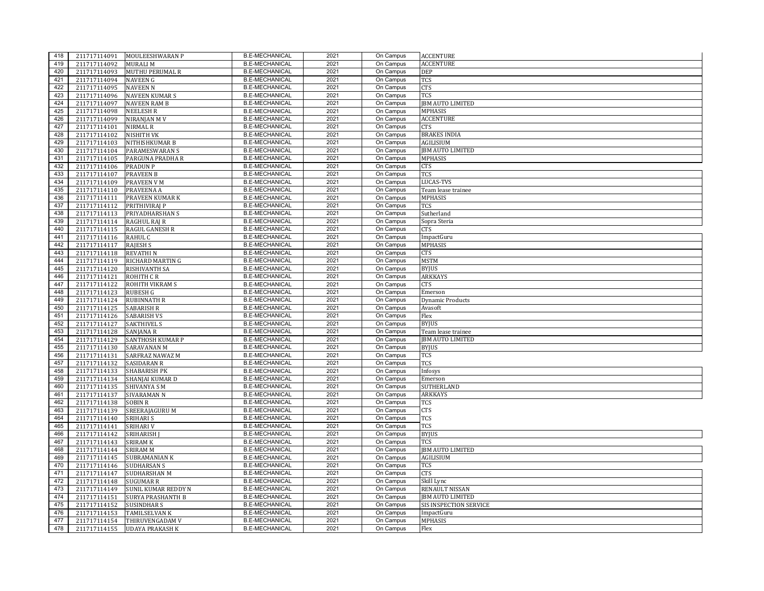| 418 | 211717114091 | MOULEESHWARAN P            | <b>B.E-MECHANICAL</b> | 2021 | On Campus | <b>ACCENTURE</b>        |
|-----|--------------|----------------------------|-----------------------|------|-----------|-------------------------|
| 419 | 211717114092 | <b>MURALI M</b>            | <b>B.E-MECHANICAL</b> | 2021 | On Campus | <b>ACCENTURE</b>        |
| 420 | 211717114093 | <b>MUTHU PERUMAL R</b>     | <b>B.E-MECHANICAL</b> | 2021 | On Campus | DEP                     |
| 421 | 211717114094 | <b>NAVEEN G</b>            | <b>B.E-MECHANICAL</b> | 2021 | On Campus | TCS                     |
| 422 | 211717114095 | <b>NAVEEN N</b>            | <b>B.E-MECHANICAL</b> | 2021 | On Campus | CTS                     |
| 423 | 211717114096 | <b>NAVEEN KUMARS</b>       | <b>B.E-MECHANICAL</b> | 2021 | On Campus | TCS                     |
| 424 | 211717114097 | <b>NAVEEN RAM B</b>        | <b>B.E-MECHANICAL</b> | 2021 | On Campus | <b>JBM AUTO LIMITED</b> |
| 425 | 211717114098 | <b>NEELESH R</b>           | <b>B.E-MECHANICAL</b> | 2021 | On Campus | <b>MPHASIS</b>          |
| 426 | 211717114099 | NIRANJAN MV                | <b>B.E-MECHANICAL</b> | 2021 | On Campus | <b>ACCENTURE</b>        |
| 427 | 211717114101 | <b>NIRMAL R</b>            | <b>B.E-MECHANICAL</b> | 2021 | On Campus | CTS                     |
| 428 | 211717114102 | <b>NISHITH VK</b>          | <b>B.E-MECHANICAL</b> | 2021 | On Campus | <b>BRAKES INDIA</b>     |
| 429 | 211717114103 | NITHISHKUMAR B             | <b>B.E-MECHANICAL</b> | 2021 | On Campus | AGILISIUM               |
| 430 | 211717114104 | <b>PARAMESWARAN S</b>      | <b>B.E-MECHANICAL</b> | 2021 | On Campus | <b>JBM AUTO LIMITED</b> |
| 431 | 211717114105 | PARGUNA PRADHA R           | <b>B.E-MECHANICAL</b> | 2021 | On Campus | <b>MPHASIS</b>          |
| 432 | 211717114106 | <b>PRADUN P</b>            | <b>B.E-MECHANICAL</b> | 2021 | On Campus | CTS                     |
| 433 | 211717114107 | <b>PRAVEEN B</b>           | <b>B.E-MECHANICAL</b> | 2021 | On Campus | TCS                     |
| 434 | 211717114109 | <b>PRAVEEN V M</b>         | <b>B.E-MECHANICAL</b> | 2021 | On Campus | LUCAS-TVS               |
| 435 | 211717114110 | PRAVEENA A                 | <b>B.E-MECHANICAL</b> | 2021 | On Campus | Team lease trainee      |
| 436 | 211717114111 | PRAVEEN KUMAR K            | <b>B.E-MECHANICAL</b> | 2021 | On Campus | MPHASIS                 |
| 437 | 211717114112 | PRITHIVIRAI P              | <b>B.E-MECHANICAL</b> | 2021 | On Campus | TCS                     |
| 438 | 211717114113 | PRIYADHARSHAN S            | <b>B.E-MECHANICAL</b> | 2021 | On Campus | Sutherland              |
| 439 | 211717114114 | <b>RAGHUL RAJ R</b>        | <b>B.E-MECHANICAL</b> | 2021 | On Campus | Sopra Steria            |
| 440 | 211717114115 | <b>RAGUL GANESH R</b>      | <b>B.E-MECHANICAL</b> | 2021 | On Campus | CTS                     |
| 441 | 211717114116 | RAHUL C                    | <b>B.E-MECHANICAL</b> | 2021 | On Campus | ImpactGuru              |
| 442 | 211717114117 | <b>RAJESH S</b>            | <b>B.E-MECHANICAL</b> | 2021 | On Campus | MPHASIS                 |
| 443 | 211717114118 | <b>REVATHIN</b>            | <b>B.E-MECHANICAL</b> | 2021 | On Campus | CTS                     |
| 444 | 211717114119 | RICHARD MARTIN G           | <b>B.E-MECHANICAL</b> | 2021 | On Campus | <b>MSTM</b>             |
| 445 | 211717114120 | <b>RISHIVANTH SA</b>       | <b>B.E-MECHANICAL</b> | 2021 | On Campus | <b>BYJUS</b>            |
| 446 | 211717114121 | ROHITH CR                  | <b>B.E-MECHANICAL</b> | 2021 | On Campus | ARKKAYS                 |
| 447 | 211717114122 | ROHITH VIKRAM S            | <b>B.E-MECHANICAL</b> | 2021 | On Campus | CTS                     |
| 448 | 211717114123 | <b>RUBESH G</b>            | <b>B.E-MECHANICAL</b> | 2021 | On Campus | Emerson                 |
| 449 | 211717114124 | <b>RUBINNATH R</b>         | <b>B.E-MECHANICAL</b> | 2021 | On Campus | <b>Dynamic Products</b> |
| 450 | 211717114125 | <b>SABARISH R</b>          | <b>B.E-MECHANICAL</b> | 2021 | On Campus | Avasoft                 |
| 451 | 211717114126 | <b>SABARISH VS</b>         | <b>B.E-MECHANICAL</b> | 2021 | On Campus | Flex                    |
| 452 | 211717114127 | <b>SAKTHIVEL S</b>         | <b>B.E-MECHANICAL</b> | 2021 | On Campus | <b>BYJUS</b>            |
| 453 | 211717114128 | <b>SANJANA R</b>           | <b>B.E-MECHANICAL</b> | 2021 | On Campus | Team lease trainee      |
| 454 | 211717114129 | <b>SANTHOSH KUMAR P</b>    | <b>B.E-MECHANICAL</b> | 2021 | On Campus | <b>JBM AUTO LIMITED</b> |
| 455 | 211717114130 | SARAVANAN M                | <b>B.E-MECHANICAL</b> | 2021 | On Campus | <b>BYJUS</b>            |
| 456 | 211717114131 | <b>SARFRAZ NAWAZ M</b>     | <b>B.E-MECHANICAL</b> | 2021 | On Campus | TCS                     |
| 457 | 211717114132 | <b>SASIDARAN R</b>         | <b>B.E-MECHANICAL</b> | 2021 | On Campus | TCS                     |
| 458 | 211717114133 | <b>SHABARISH PK</b>        | <b>B.E-MECHANICAL</b> | 2021 | On Campus | Infosys                 |
| 459 | 211717114134 | SHANJAI KUMAR D            | <b>B.E-MECHANICAL</b> | 2021 | On Campus | Emerson                 |
| 460 | 211717114135 | <b>SHIVANYA SM</b>         | <b>B.E-MECHANICAL</b> | 2021 | On Campus | SUTHERLAND              |
| 461 | 211717114137 | <b>SIVARAMAN N</b>         | <b>B.E-MECHANICAL</b> | 2021 | On Campus | ARKKAYS                 |
| 462 | 211717114138 | <b>SOBIN R</b>             | <b>B.E-MECHANICAL</b> | 2021 | On Campus | TCS                     |
| 463 | 211717114139 | SREERAJAGURU M             | <b>B.E-MECHANICAL</b> | 2021 | On Campus | CTS                     |
| 464 | 211717114140 | <b>SRIHARI S</b>           | <b>B.E-MECHANICAL</b> | 2021 | On Campus | TCS                     |
| 465 | 211717114141 | SRIHARI V                  | <b>B.E-MECHANICAL</b> | 2021 | On Campus | <b>TCS</b>              |
| 466 | 211717114142 | SRIHARISH                  | <b>B.E-MECHANICAL</b> | 2021 | On Campus | <b>BYJUS</b>            |
| 467 | 211717114143 | <b>SRIRAM K</b>            | <b>B.E-MECHANICAL</b> | 2021 | On Campus | TCS                     |
| 468 | 211717114144 | <b>SRIRAM M</b>            | <b>B.E-MECHANICAL</b> | 2021 | On Campus | JBM AUTO LIMITED        |
| 469 | 211717114145 | <b>SUBRAMANIAN K</b>       | <b>B.E-MECHANICAL</b> | 2021 | On Campus | AGILISIUM               |
| 470 | 211717114146 | <b>SUDHARSAN S</b>         | <b>B.E-MECHANICAL</b> | 2021 | On Campus | TCS                     |
| 471 | 211717114147 | SUDHARSHAN M               | <b>B.E-MECHANICAL</b> | 2021 | On Campus | CTS                     |
| 472 | 211717114148 | <b>SUGUMAR R</b>           | <b>B.E-MECHANICAL</b> | 2021 | On Campus | Skill Lync              |
| 473 | 211717114149 | <b>SUNIL KUMAR REDDY N</b> | <b>B.E-MECHANICAL</b> | 2021 | On Campus | RENAULT NISSAN          |
| 474 | 211717114151 | <b>SURYA PRASHANTH B</b>   | <b>B.E-MECHANICAL</b> | 2021 | On Campus | <b>IBM AUTO LIMITED</b> |
| 475 | 211717114152 | <b>SUSINDHAR S</b>         | <b>B.E-MECHANICAL</b> | 2021 | On Campus | SIS INSPECTION SERVICE  |
| 476 | 211717114153 | <b>TAMILSELVAN K</b>       | <b>B.E-MECHANICAL</b> | 2021 | On Campus | ImpactGuru              |
| 477 | 211717114154 | THIRUVENGADAM V            | <b>B.E-MECHANICAL</b> | 2021 | On Campus | MPHASIS                 |
| 478 | 211717114155 | <b>UDAYA PRAKASH K</b>     | <b>B.E-MECHANICAL</b> | 2021 | On Campus | Flex                    |